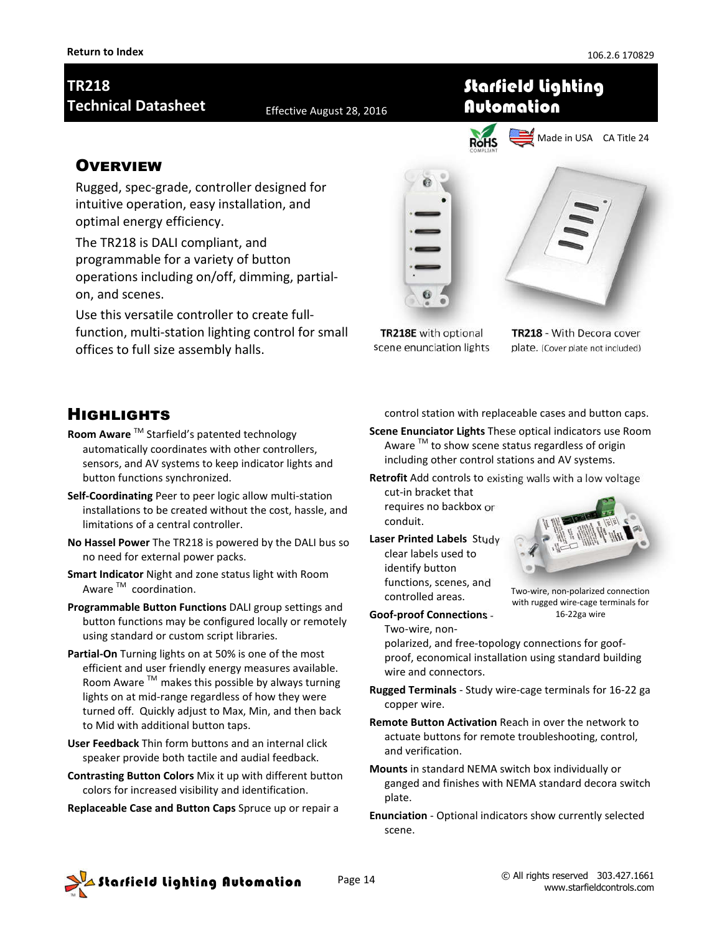# **TR218 Technical Datasheet** Effective August 28, 2016

### **OVERVIEW**

Rugged, spec-grade, controller designed for intuitive operation, easy installation, and optimal energy efficiency.

The TR218 is DALI compliant, and programmable for a variety of button operations including on/off, dimming, partialon, and scenes.

Use this versatile controller to create fullfunction, multi-station lighting control for small offices to full size assembly halls.



Starfield Lighting

Automation

**TR218E** with optional scene enunciation lights

**TR218** - With Decora cover plate. (Cover plate not included)

## **HIGHLIGHTS**

- **Room Aware** TM Starfield's patented technology automatically coordinates with other controllers, sensors, and AV systems to keep indicator lights and button functions synchronized.
- **Self-Coordinating** Peer to peer logic allow multi-station installations to be created without the cost, hassle, and limitations of a central controller.
- **No Hassel Power** The TR218 is powered by the DALI bus so no need for external power packs.
- **Smart Indicator** Night and zone status light with Room Aware<sup>™</sup> coordination.
- **Programmable Button Functions** DALI group settings and button functions may be configured locally or remotely using standard or custom script libraries.
- **Partial-On** Turning lights on at 50% is one of the most efficient and user friendly energy measures available. Room Aware ™ makes this possible by always turning lights on at mid-range regardless of how they were turned off. Quickly adjust to Max, Min, and then back to Mid with additional button taps.
- **User Feedback** Thin form buttons and an internal click speaker provide both tactile and audial feedback.
- **Contrasting Button Colors** Mix it up with different button colors for increased visibility and identification.
- **Replaceable Case and Button Caps** Spruce up or repair a

control station with replaceable cases and button caps.

**Scene Enunciator Lights** These optical indicators use Room Aware  $<sup>TM</sup>$  to show scene status regardless of origin</sup> including other control stations and AV systems.

**Retrofit** Add controls to existing walls with a low voltage

- cut-in bracket that requires no backbox or conduit.
- **Laser Printed Labels** Study clear labels used to identify button functions, scenes, and controlled areas.

**Goof-proof Connections** -



Two-wire, non-polarized connection with rugged wire-cage terminals for 16-22ga wire

Two-wire, nonpolarized, and free-topology connections for goofproof, economical installation using standard building wire and connectors.

- **Rugged Terminals**  Study wire-cage terminals for 16-22 ga copper wire.
- **Remote Button Activation** Reach in over the network to actuate buttons for remote troubleshooting, control, and verification.
- **Mounts** in standard NEMA switch box individually or ganged and finishes with NEMA standard decora switch plate.
- **Enunciation**  Optional indicators show currently selected scene.